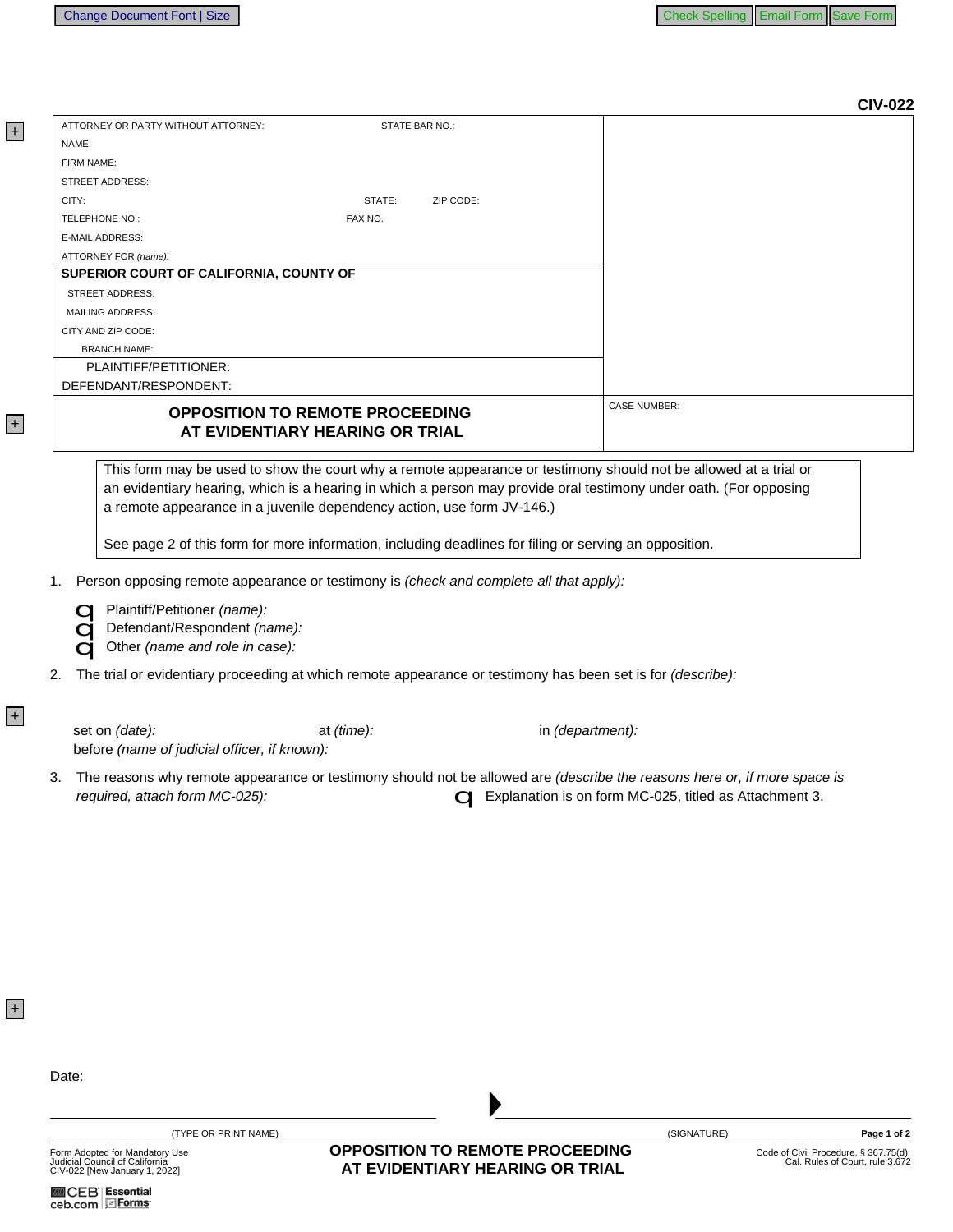| NAME:      |                                                                                                                                                                                                               |                                        |                  | <b>CIV-022</b>      |
|------------|---------------------------------------------------------------------------------------------------------------------------------------------------------------------------------------------------------------|----------------------------------------|------------------|---------------------|
|            | ATTORNEY OR PARTY WITHOUT ATTORNEY:                                                                                                                                                                           | STATE BAR NO.:                         |                  |                     |
|            |                                                                                                                                                                                                               |                                        |                  |                     |
| FIRM NAME: |                                                                                                                                                                                                               |                                        |                  |                     |
|            | <b>STREET ADDRESS:</b>                                                                                                                                                                                        |                                        |                  |                     |
| CITY:      |                                                                                                                                                                                                               | STATE:                                 | ZIP CODE:        |                     |
|            | TELEPHONE NO.:                                                                                                                                                                                                | FAX NO.                                |                  |                     |
|            | <b>E-MAIL ADDRESS:</b>                                                                                                                                                                                        |                                        |                  |                     |
|            | ATTORNEY FOR (name):                                                                                                                                                                                          |                                        |                  |                     |
|            | SUPERIOR COURT OF CALIFORNIA, COUNTY OF                                                                                                                                                                       |                                        |                  |                     |
|            | <b>STREET ADDRESS:</b>                                                                                                                                                                                        |                                        |                  |                     |
|            | <b>MAILING ADDRESS:</b>                                                                                                                                                                                       |                                        |                  |                     |
|            | CITY AND ZIP CODE:                                                                                                                                                                                            |                                        |                  |                     |
|            | <b>BRANCH NAME:</b>                                                                                                                                                                                           |                                        |                  |                     |
|            | PLAINTIFF/PETITIONER:                                                                                                                                                                                         |                                        |                  |                     |
|            | DEFENDANT/RESPONDENT:                                                                                                                                                                                         |                                        |                  |                     |
|            |                                                                                                                                                                                                               | <b>OPPOSITION TO REMOTE PROCEEDING</b> |                  | <b>CASE NUMBER:</b> |
|            |                                                                                                                                                                                                               | AT EVIDENTIARY HEARING OR TRIAL        |                  |                     |
|            | See page 2 of this form for more information, including deadlines for filing or serving an opposition.<br>Person opposing remote appearance or testimony is (check and complete all that apply):              |                                        |                  |                     |
|            | Plaintiff/Petitioner (name):<br>Defendant/Respondent (name):<br>Other (name and role in case):<br>The trial or evidentiary proceeding at which remote appearance or testimony has been set is for (describe): |                                        |                  |                     |
|            | set on (date):<br>before (name of judicial officer, if known):                                                                                                                                                | at $(time)$ :                          | in (department): |                     |

+

 $+$ 

 $+$ 

+

(TYPE OR PRINT NAME)

Form Adopted for Mandatory Use<br>Judicial Council of California<br>CIV-022 [New January 1, 2022]

**OPPOSITION TO REMOTE PROCEEDING** AT EVIDENTIARY HEARING OR TRIAL

(SIGNATURE)